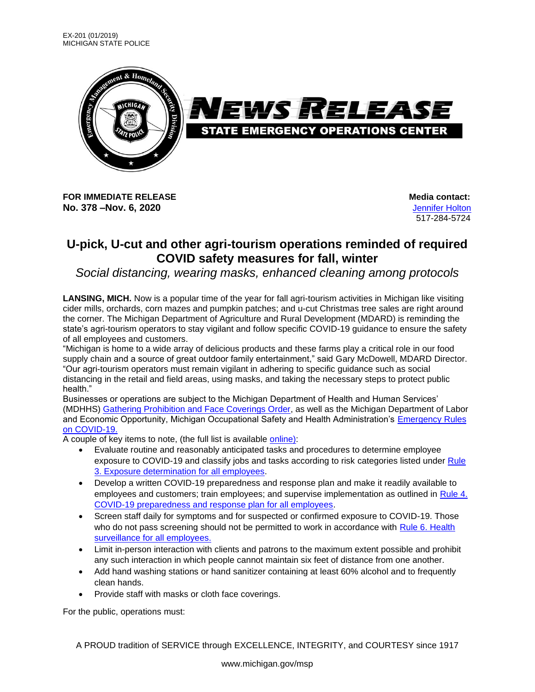

**FOR IMMEDIATE RELEASE Media** contact: **No. 378 –Nov. 6, 2020** [Jennifer Holton](mailto:holtonj@michigan.gov)

517-284-5724

## **U-pick, U-cut and other agri-tourism operations reminded of required COVID safety measures for fall, winter**

*Social distancing, wearing masks, enhanced cleaning among protocols*

**LANSING, MICH.** Now is a popular time of the year for fall agri-tourism activities in Michigan like visiting cider mills, orchards, corn mazes and pumpkin patches; and u-cut Christmas tree sales are right around the corner. The Michigan Department of Agriculture and Rural Development (MDARD) is reminding the state's agri-tourism operators to stay vigilant and follow specific COVID-19 guidance to ensure the safety of all employees and customers.

"Michigan is home to a wide array of delicious products and these farms play a critical role in our food supply chain and a source of great outdoor family entertainment," said Gary McDowell, MDARD Director. "Our agri-tourism operators must remain vigilant in adhering to specific guidance such as social distancing in the retail and field areas, using masks, and taking the necessary steps to protect public health."

Businesses or operations are subject to the Michigan Department of Health and Human Services' (MDHHS) [Gathering Prohibition and Face Coverings Order,](https://www.michigan.gov/coronavirus/0,9753,7-406-98178_98455-543708--,00.html) as well as the Michigan Department of Labor and Economic Opportunity, Michigan Occupational Safety and Health Administration's [Emergency Rules](https://www.michigan.gov/documents/leo/Final_MIOSHA_Rules_705164_7.pdf)  [on COVID-19.](https://www.michigan.gov/documents/leo/Final_MIOSHA_Rules_705164_7.pdf)

A couple of key items to note, (the full list is available [online\)](https://www.michigan.gov/documents/mdard/U-Pick_COVID-19_Guidance_691238_7.pdf):

- Evaluate routine and reasonably anticipated tasks and procedures to determine employee exposure to COVID-19 and classify jobs and tasks according to risk categories listed under [Rule](https://www.michigan.gov/documents/leo/Final_MIOSHA_Rules_705164_7.pdf)  [3. Exposure determination for all employees.](https://www.michigan.gov/documents/leo/Final_MIOSHA_Rules_705164_7.pdf)
- Develop a written COVID-19 preparedness and response plan and make it readily available to employees and customers; train employees; and supervise implementation as outlined in [Rule 4.](https://www.michigan.gov/documents/leo/Final_MIOSHA_Rules_705164_7.pdf)  [COVID-19 preparedness and response plan for all employees.](https://www.michigan.gov/documents/leo/Final_MIOSHA_Rules_705164_7.pdf)
- Screen staff daily for symptoms and for suspected or confirmed exposure to COVID-19. Those who do not pass screening should not be permitted to work in accordance with Rule 6. Health [surveillance for all employees.](https://www.michigan.gov/documents/leo/Final_MIOSHA_Rules_705164_7.pdf)
- Limit in-person interaction with clients and patrons to the maximum extent possible and prohibit any such interaction in which people cannot maintain six feet of distance from one another.
- Add hand washing stations or hand sanitizer containing at least 60% alcohol and to frequently clean hands.
- Provide staff with masks or cloth face coverings.

For the public, operations must:

A PROUD tradition of SERVICE through EXCELLENCE, INTEGRITY, and COURTESY since 1917